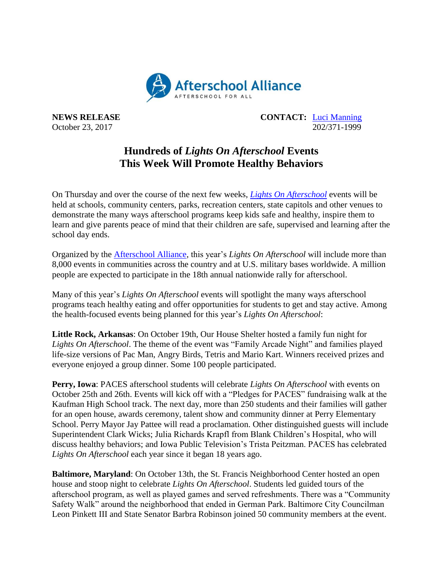

**NEWS RELEASE CONTACT:** [Luci Manning](mailto:luci@prsolutionsdc.com) October 23, 2017 202/371-1999

## **Hundreds of** *Lights On Afterschool* **Events This Week Will Promote Healthy Behaviors**

On Thursday and over the course of the next few weeks, *[Lights On Afterschool](http://www.afterschoolalliance.org/loa.cfm)* events will be held at schools, community centers, parks, recreation centers, state capitols and other venues to demonstrate the many ways afterschool programs keep kids safe and healthy, inspire them to learn and give parents peace of mind that their children are safe, supervised and learning after the school day ends.

Organized by the [Afterschool Alliance,](http://www.afterschoolalliance.org/) this year's *Lights On Afterschool* will include more than 8,000 events in communities across the country and at U.S. military bases worldwide. A million people are expected to participate in the 18th annual nationwide rally for afterschool.

Many of this year's *Lights On Afterschool* events will spotlight the many ways afterschool programs teach healthy eating and offer opportunities for students to get and stay active. Among the health-focused events being planned for this year's *Lights On Afterschool*:

**Little Rock, Arkansas**: On October 19th, Our House Shelter hosted a family fun night for *Lights On Afterschool*. The theme of the event was "Family Arcade Night" and families played life-size versions of Pac Man, Angry Birds, Tetris and Mario Kart. Winners received prizes and everyone enjoyed a group dinner. Some 100 people participated.

**Perry, Iowa**: PACES afterschool students will celebrate *Lights On Afterschool* with events on October 25th and 26th. Events will kick off with a "Pledges for PACES" fundraising walk at the Kaufman High School track. The next day, more than 250 students and their families will gather for an open house, awards ceremony, talent show and community dinner at Perry Elementary School. Perry Mayor Jay Pattee will read a proclamation. Other distinguished guests will include Superintendent Clark Wicks; Julia Richards Krapfl from Blank Children's Hospital, who will discuss healthy behaviors; and Iowa Public Television's Trista Peitzman. PACES has celebrated *Lights On Afterschool* each year since it began 18 years ago.

**Baltimore, Maryland**: On October 13th, the St. Francis Neighborhood Center hosted an open house and stoop night to celebrate *Lights On Afterschool*. Students led guided tours of the afterschool program, as well as played games and served refreshments. There was a "Community Safety Walk" around the neighborhood that ended in German Park. Baltimore City Councilman Leon Pinkett III and State Senator Barbra Robinson joined 50 community members at the event.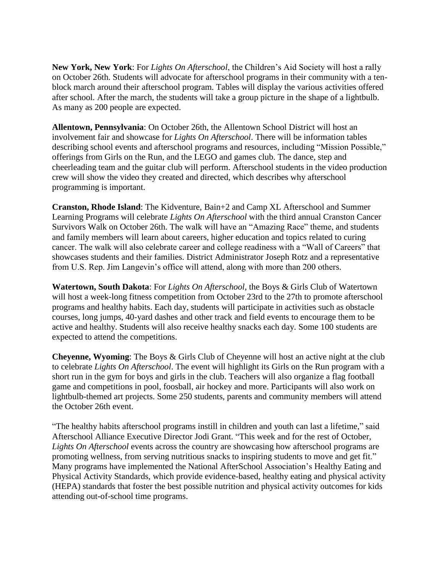**New York, New York**: For *Lights On Afterschool*, the Children's Aid Society will host a rally on October 26th. Students will advocate for afterschool programs in their community with a tenblock march around their afterschool program. Tables will display the various activities offered after school. After the march, the students will take a group picture in the shape of a lightbulb. As many as 200 people are expected.

**Allentown, Pennsylvania**: On October 26th, the Allentown School District will host an involvement fair and showcase for *Lights On Afterschool*. There will be information tables describing school events and afterschool programs and resources, including "Mission Possible," offerings from Girls on the Run, and the LEGO and games club. The dance, step and cheerleading team and the guitar club will perform. Afterschool students in the video production crew will show the video they created and directed, which describes why afterschool programming is important.

**Cranston, Rhode Island**: The Kidventure, Bain+2 and Camp XL Afterschool and Summer Learning Programs will celebrate *Lights On Afterschool* with the third annual Cranston Cancer Survivors Walk on October 26th. The walk will have an "Amazing Race" theme, and students and family members will learn about careers, higher education and topics related to curing cancer. The walk will also celebrate career and college readiness with a "Wall of Careers" that showcases students and their families. District Administrator Joseph Rotz and a representative from U.S. Rep. Jim Langevin's office will attend, along with more than 200 others.

**Watertown, South Dakota**: For *Lights On Afterschool*, the Boys & Girls Club of Watertown will host a week-long fitness competition from October 23rd to the 27th to promote afterschool programs and healthy habits. Each day, students will participate in activities such as obstacle courses, long jumps, 40-yard dashes and other track and field events to encourage them to be active and healthy. Students will also receive healthy snacks each day. Some 100 students are expected to attend the competitions.

**Cheyenne, Wyoming**: The Boys & Girls Club of Cheyenne will host an active night at the club to celebrate *Lights On Afterschool*. The event will highlight its Girls on the Run program with a short run in the gym for boys and girls in the club. Teachers will also organize a flag football game and competitions in pool, foosball, air hockey and more. Participants will also work on lightbulb-themed art projects. Some 250 students, parents and community members will attend the October 26th event.

"The healthy habits afterschool programs instill in children and youth can last a lifetime," said Afterschool Alliance Executive Director Jodi Grant. "This week and for the rest of October, *Lights On Afterschool* events across the country are showcasing how afterschool programs are promoting wellness, from serving nutritious snacks to inspiring students to move and get fit." Many programs have implemented the National AfterSchool Association's Healthy Eating and Physical Activity Standards, which provide evidence-based, healthy eating and physical activity (HEPA) standards that foster the best possible nutrition and physical activity outcomes for kids attending out-of-school time programs.